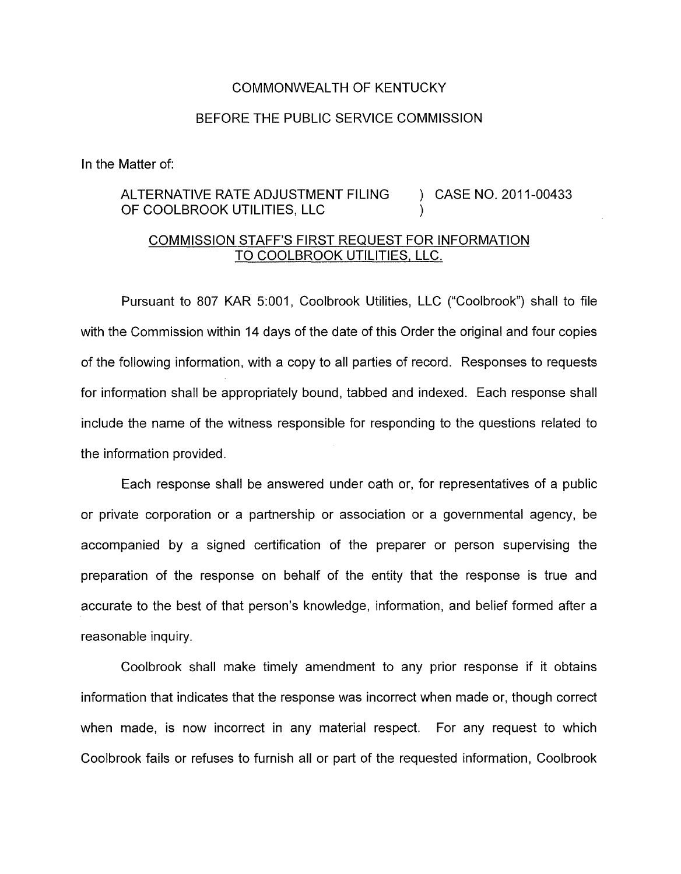## COMMONWEALTH OF KENTUCKY

## BEFORE THE PUBLIC SERVICE COMMISSION

In the Matter of:

## ALTERNATIVE RATE ADJUSTMENT FILING ) CASE NO. 2011-00433 OF COOLBROOK UTILITIES, LLC 1

## COMMISSION STAFF'S FIRST REQUEST FOR INFORMATION TO COOLBROOK UTILITIES, LLC.

Pursuant to 807 KAR 5:001, Coolbrook Utilities, LLC ("Coolbrook") shall to file with the Commission within 14 days of the date of this Order the original and four copies of the following information, with a copy to all parties of record. Responses to requests for information shall be appropriately bound, tabbed and indexed. Each response shall include the name of the witness responsible for responding to the questions related to the information provided.

Each response shall be answered under oath or, for representatives of a public or private corporation or a partnership or association or a governmental agency, be accompanied by a signed certification of the preparer or person supervising the preparation of the response on behalf of the entity that the response is true and accurate to the best of that person's knowledge, information, and belief formed after a reasonable inquiry.

Coolbrook shall make timely amendment to any prior response if it obtains information that indicates that the response was incorrect when made or, though correct when made, is now incorrect in any material respect. For any request to which Coolbrook fails or refuses to furnish all or part of the requested information, Coolbrook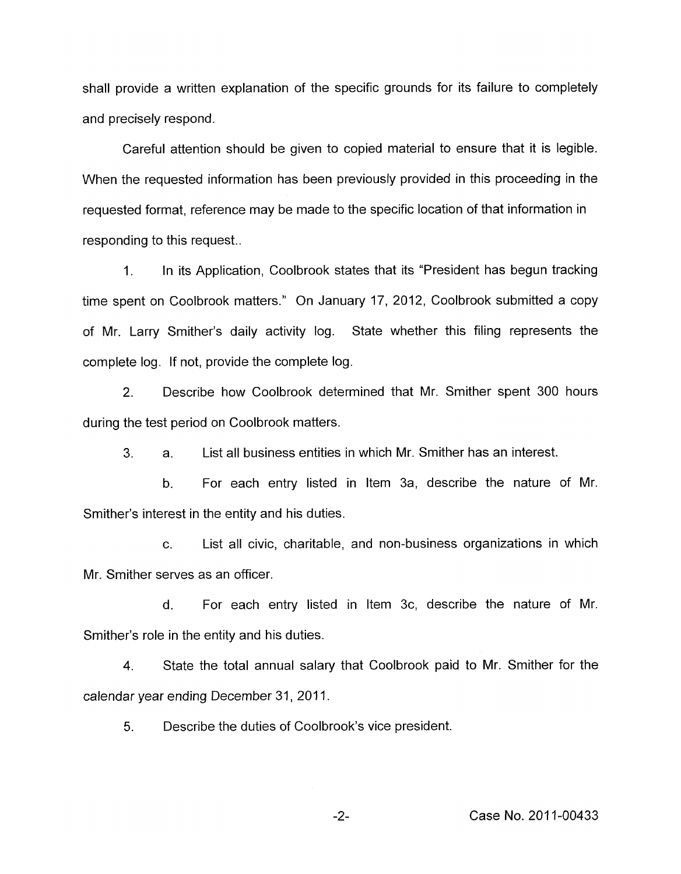shall provide a written explanation of the specific grounds for its failure to completely and precisely respond.

Careful attention should be given to copied material to ensure that it is legible. When the requested information has been previously provided in this proceeding in the requested format, reference may be made to the specific location of that information in responding to this request..

1. In its Application, Coolbrook states that its "President has begun tracking time spent on Coolbrook matters." On January 17, 2012, Coolbrook submitted a copy of Mr. Larry Smither's daily activity log. State whether this filing represents the complete log. If not, provide the complete log.

2. Describe how Coolbrook determined that Mr. Smither spent 300 hours during the test period on Coolbrook matters.

3. a. List all business entities in which Mr. Smither has an interest.

b. For each entry listed in Item 3a, describe the nature of Mr. Smither's interest in the entity and his duties.

c. List all civic, charitable, and non-business organizations in which Mr. Smither serves as an officer.

d. For each entry listed in Item 3c, describe the nature of Mr. Smither's role in the entity and his duties.

4. State the total annual salary that Coolbrook paid to Mr. Smither for the calendar year ending December 31, 2011.

5. Describe the duties of Coolbrook's vice president.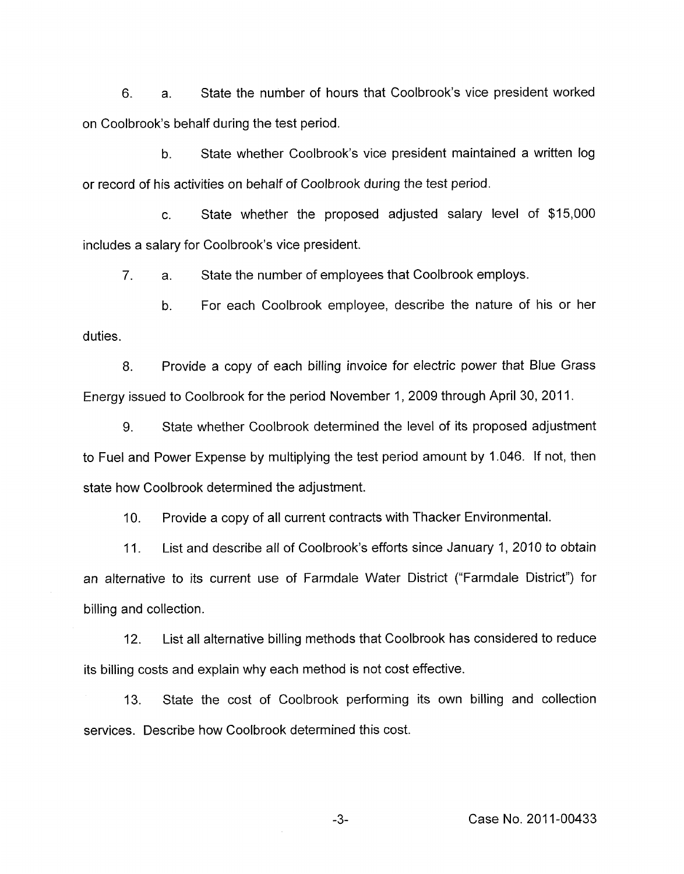6. a. State the number of hours that Coolbrook's vice president worked on Coolbrook's behalf during the test period.

b. State whether Coolbrook's vice president maintained a written log or record of his activities on behalf of Coolbrook during the test period.

c. State whether the proposed adjusted salary level of \$15,000 includes a salary for Coolbrook's vice president.

7. a. State the number of employees that Coolbrook employs.

b. For each Coolbrook employee, describe the nature of his or her duties.

8. Provide a copy of each billing invoice for electric power that Blue Grass Energy issued to Coolbrook for the period November 1, 2009 through April 30, 2011.

9. State whether Coolbrook determined the level of its proposed adjustment to Fuel and Power Expense by multiplying the test period amount by 1.046. If not, then state how Coolbrook determined the adjustment.

IO. Provide a copy of all current contracts with Thacker Environmental.

11. List and describe all of Coolbrook's efforts since January 1, 2010 to obtain an alternative to its current use of Farmdale Water District ("Farmdale District") for billing and collection.

12. List all alternative billing methods that Coolbrook has considered to reduce its billing costs and explain why each method is not cost effective.

13. State the cost of Coolbrook performing its own billing and collection services. Describe how Coolbrook determined this cost.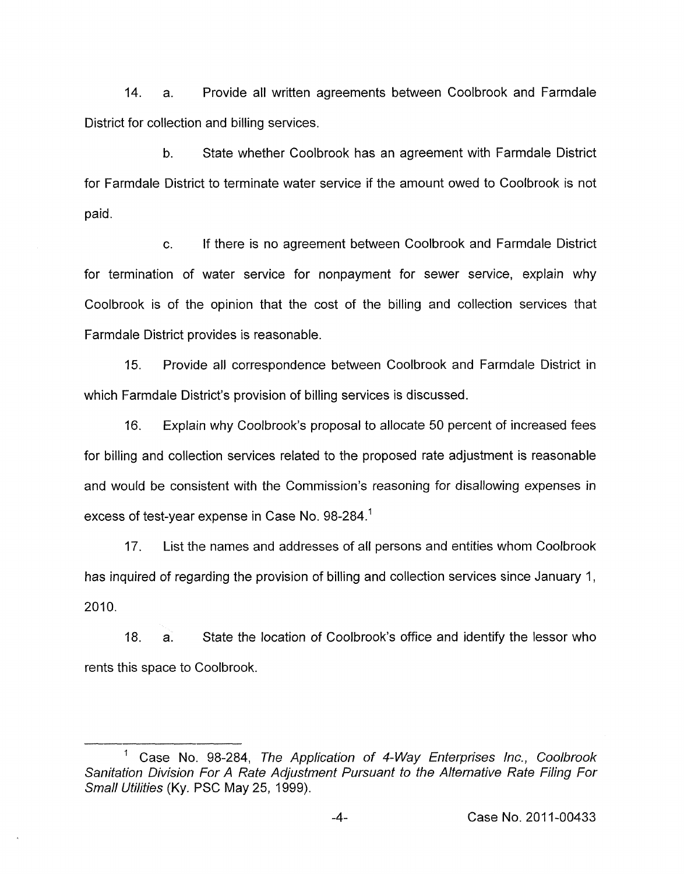14. a. Provide all written agreements between Coolbrook and Farmdale District for collection and billing services.

b. State whether Coolbrook has an agreement with Farmdale District for Farmdale District to terminate water service if the amount owed to Coolbrook is not paid.

c. If there is no agreement between Coolbrook and Farmdale District for termination of water service for nonpayment for sewer service, explain why Coolbrook is of the opinion that the cost of the billing and collection services that Farmdale District provides is reasonable.

15. Provide all correspondence between Coolbrook and Farmdale District in which Farmdale District's provision of billing services is discussed.

16. Explain why Coolbrook's proposal to allocate 50 percent of increased fees for billing and collection services related to the proposed rate adjustment is reasonable and would be consistent with the Commission's reasoning for disallowing expenses in excess of test-year expense in Case No. 98-284.'

17. List the names and addresses of all persons and entities whom Coolbrook has inquired of regarding the provision of billing and collection services since January I, 2010.

18. a. State the location of Coolbrook's office and identify the lessor who rents this space to Coolbrook.

<sup>&#</sup>x27; Case No. 98-284, *The Application of 4-Way Enterprises Inc., Coolbrook Sanitation Division For A Rate Adjustment Pursuant to the Alternative Rate Filing For Small Utihties* (Ky. PSC May 25, 1999).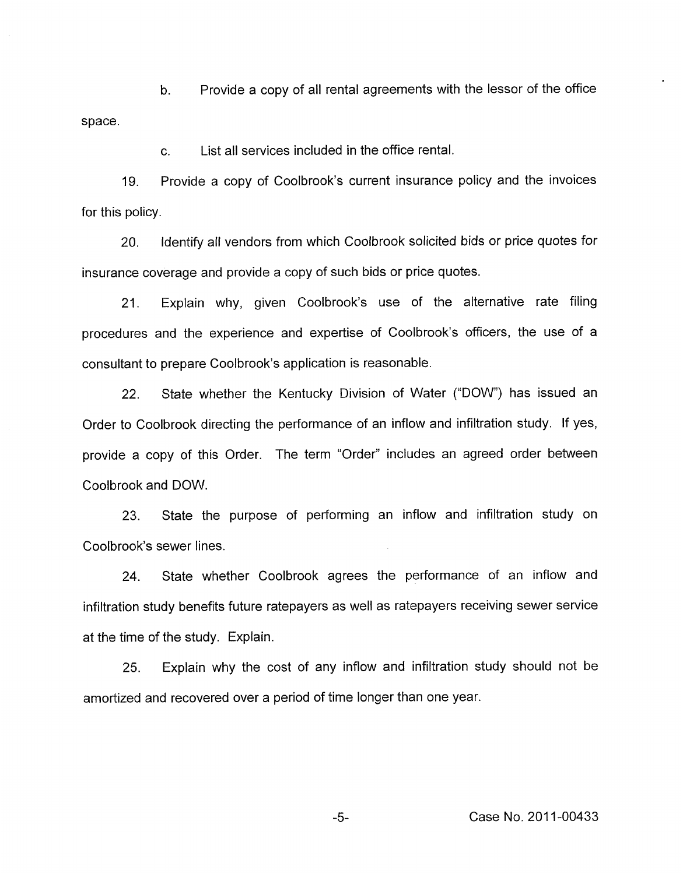b. Provide a copy of all rental agreements with the lessor of the office space.

> C. List all services included in the office rental.

Provide a copy of Coolbrook's current insurance policy and the invoices 19. for this policy.

20. Identify all vendors from which Coolbrook solicited bids or price quotes for insurance coverage and provide a copy of such bids or price quotes.

21. Explain why, given Coolbrook's use of the alternative rate filing procedures and the experience and expertise of Coolbrook's officers, the use of a consultant to prepare Coolbrook's application is reasonable.

22. State whether the Kentucky Division of Water ("DOW") has issued an Order to Coolbrook directing the performance of an inflow and infiltration study. If yes, provide a copy of this Order. The term "Order" includes an agreed order between Coolbrook and DOW.

23. State the purpose of performing an inflow and infiltration study on Coolbrook's sewer lines.

24. State whether Coolbrook agrees the performance of an inflow and infiltration study benefits future ratepayers as well as ratepayers receiving sewer service at the time of the study. Explain.

25. Explain why the cost of any inflow and infiltration study should not be amortized and recovered over a period of time longer than one year.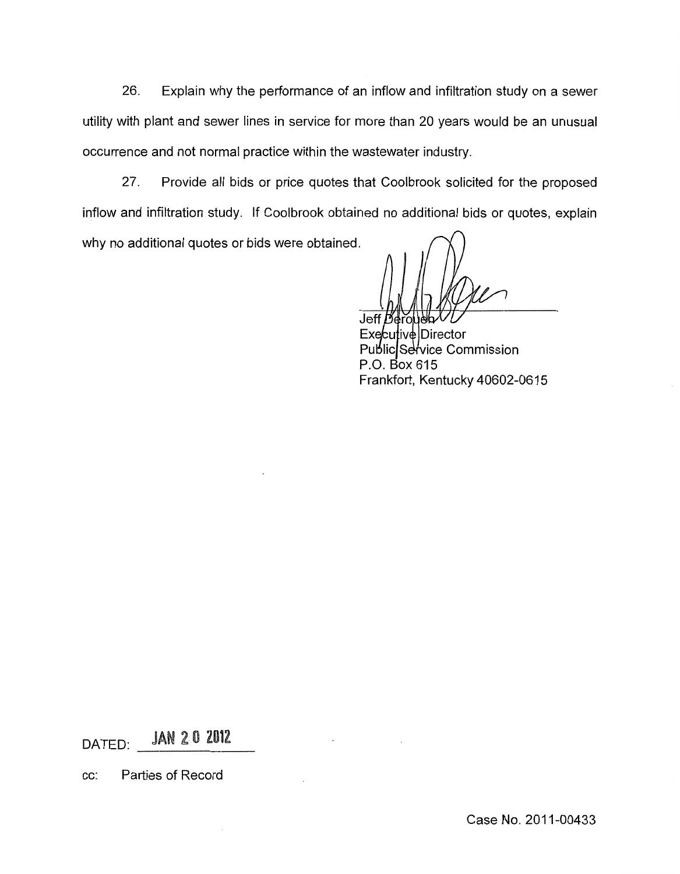26. Explain why the performance of an inflow and infiltration study on a sewer utility with plant and sewer lines in service for more than 20 years would be an unusual occurrence and not normal practice within the wastewater industry.

27. Provide all bids or price quotes that Coolbrook solicited for the proposed inflow and infiltration study. If Coolbrook obtained no additional bids or quotes, explain why no additional quotes or bids were obtained.

**Jeff** Derouel

Executive Director Public Service Commission P.O. Box 615 Frankfort, Kentucky 40602-0615

**JAN 20 2012** DATED:

cc: Parties of Record